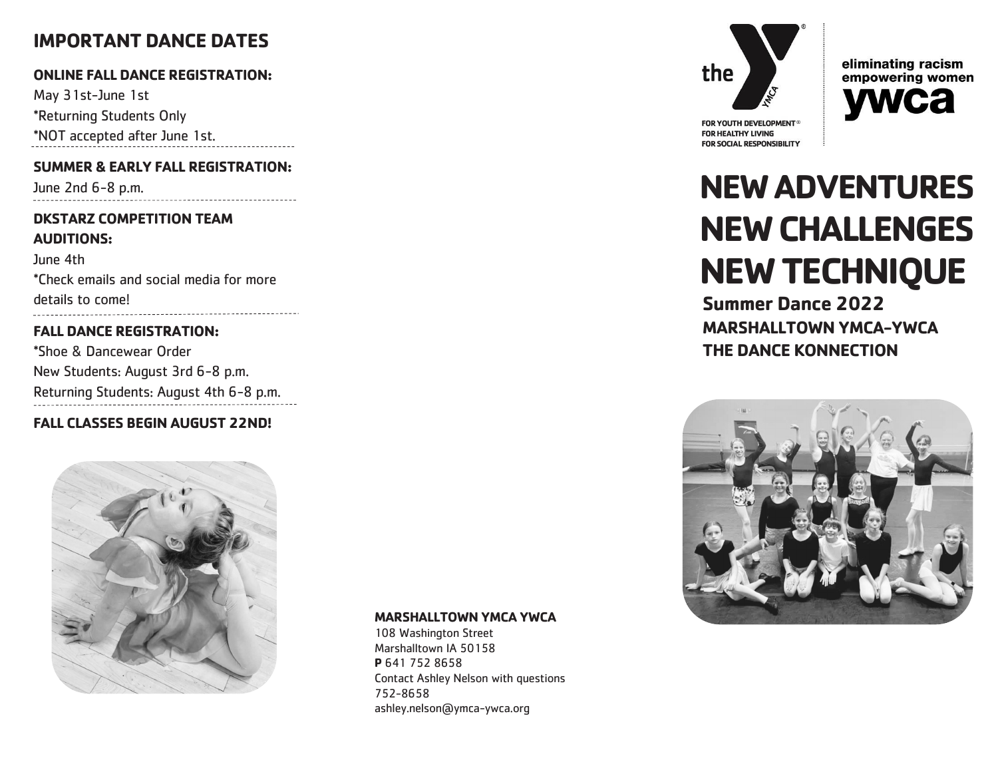# **IMPORTANT DANCE DATES**

# **ONLINE FALL DANCE REGISTRATION:**

May 31st-June 1st \*Returning Students Only \*NOT accepted after June 1st.

# **SUMMER & EARLY FALL REGISTRATION:**

June 2nd 6-8 p.m.

## **DKSTARZ COMPETITION TEAM AUDITIONS:**

June 4th \*Check emails and social media for more details to come! 

# **FALL DANCE REGISTRATION:**

\*Shoe & Dancewear Order New Students: August 3rd 6-8 p.m. Returning Students: August 4th 6-8 p.m.

# **FALL CLASSES BEGIN AUGUST 22ND!**



#### **MARSHALLTOWN YMCA YWCA**

108 Washington Street Marshalltown IA 50158 **P** 641 752 8658 Contact Ashley Nelson with questions 752-8658 ashley.nelson@ymca-ywca.org





FOR YOUTH DEVELOPMENT® **FOR HEALTHY LIVING FOR SOCIAL RESPONSIBILITY** 

# **NEW ADVENTURES NEW CHALLENGES NEW TECHNIQUE**

**Summer Dance 2022 MARSHALLTOWN YMCA-YWCA THE DANCE KONNECTION**